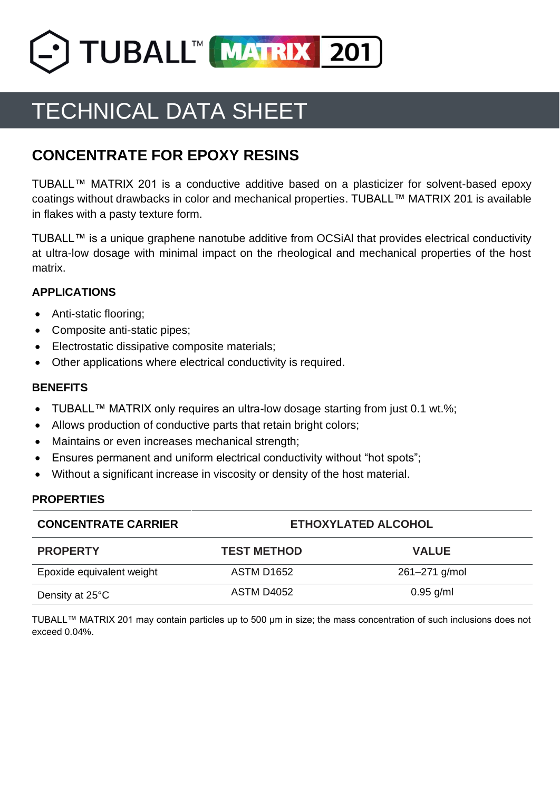

# TECHNICAL DATA SHEET

# **CONCENTRATE FOR EPOXY RESINS**

TUBALL™ MATRIX 201 is a conductive additive based on a plasticizer for solvent-based epoxy coatings without drawbacks in color and mechanical properties. TUBALL™ MATRIX 201 is available in flakes with a pasty texture form.

TUBALL™ is a unique graphene nanotube additive from OCSiAl that provides electrical conductivity at ultra-low dosage with minimal impact on the rheological and mechanical properties of the host matrix.

# **APPLICATIONS**

- Anti-static flooring;
- Composite anti-static pipes;
- Electrostatic dissipative composite materials;
- Other applications where electrical conductivity is required.

# **BENEFITS**

- TUBALL™ MATRIX only requires an ultra-low dosage starting from just 0.1 wt.%;
- Allows production of conductive parts that retain bright colors;
- Maintains or even increases mechanical strength;
- Ensures permanent and uniform electrical conductivity without "hot spots";
- Without a significant increase in viscosity or density of the host material.

## **PROPERTIES**

| <b>CONCENTRATE CARRIER</b> | <b>ETHOXYLATED ALCOHOL</b> |               |  |  |  |
|----------------------------|----------------------------|---------------|--|--|--|
| <b>PROPERTY</b>            | <b>TEST METHOD</b>         | <b>VALUE</b>  |  |  |  |
| Epoxide equivalent weight  | ASTM D1652                 | 261-271 g/mol |  |  |  |
| Density at 25°C            | ASTM D4052                 | $0.95$ g/ml   |  |  |  |

TUBALL™ MATRIX 201 may contain particles up to 500 µm in size; the mass concentration of such inclusions does not exceed 0.04%.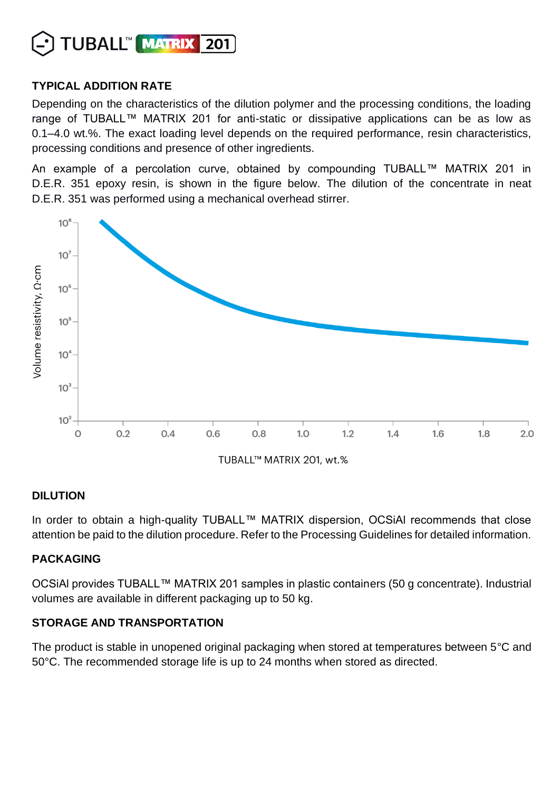

# **TYPICAL ADDITION RATE**

Depending on the characteristics of the dilution polymer and the processing conditions, the loading range of TUBALL™ MATRIX 201 for anti-static or dissipative applications can be as low as 0.1–4.0 wt.%. The exact loading level depends on the required performance, resin characteristics, processing conditions and presence of other ingredients.

An example of a percolation curve, obtained by compounding TUBALL™ MATRIX 201 in D.E.R. 351 epoxy resin, is shown in the figure below. The dilution of the concentrate in neat D.E.R. 351 was performed using a mechanical overhead stirrer.



## **DILUTION**

In order to obtain a high-quality TUBALL™ MATRIX dispersion, OCSiAl recommends that close attention be paid to the dilution procedure. Refer to the Processing Guidelines for detailed information.

#### **PACKAGING**

OCSiAl provides TUBALL™ MATRIX 201 samples in plastic containers (50 g concentrate). Industrial volumes are available in different packaging up to 50 kg.

## **STORAGE AND TRANSPORTATION**

The product is stable in unopened original packaging when stored at temperatures between 5°C and 50°C. The recommended storage life is up to 24 months when stored as directed.